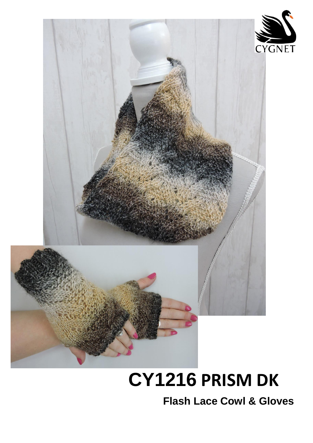



# **CY1216 PRISM DK**

**Flash Lace Cowl & Gloves**

 $\overline{a}$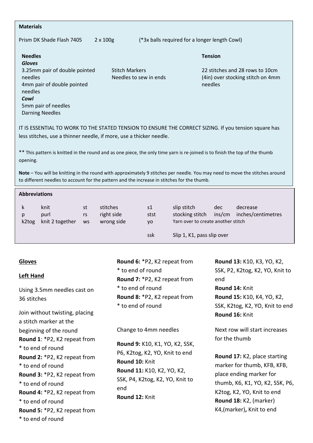| <b>Materials</b>                              |                       |                                               |                                   |  |  |
|-----------------------------------------------|-----------------------|-----------------------------------------------|-----------------------------------|--|--|
| Prism DK Shade Flash 7405<br>$2 \times 100$ g |                       | (*3x balls required for a longer length Cowl) |                                   |  |  |
| <b>Needles</b><br><b>Gloves</b>               |                       |                                               | <b>Tension</b>                    |  |  |
| 3.25mm pair of double pointed                 | <b>Stitch Markers</b> |                                               | 22 stitches and 28 rows to 10cm   |  |  |
| needles                                       |                       | Needles to sew in ends                        | (4in) over stocking stitch on 4mm |  |  |
| 4mm pair of double pointed                    |                       |                                               | needles                           |  |  |
| needles                                       |                       |                                               |                                   |  |  |
| Cowl                                          |                       |                                               |                                   |  |  |

IT IS ESSENTIAL TO WORK TO THE STATED TENSION TO ENSURE THE CORRECT SIZING. If you tension square has less stitches, use a thinner needle, if more, use a thicker needle.

\*\* This pattern is knitted in the round and as one piece, the only time yarn is re-joined is to finish the top of the thumb opening.

**Note** – You will be knitting in the round with approximately 9 stitches per needle. You may need to move the stitches around to different needles to account for the pattern and the increase in stitches for the thumb.

| <b>Abbreviations</b> |                                 |                       |                                      |                  |                                                                      |               |                                |  |  |  |
|----------------------|---------------------------------|-----------------------|--------------------------------------|------------------|----------------------------------------------------------------------|---------------|--------------------------------|--|--|--|
| k<br>p<br>k2tog      | knit<br>purl<br>knit 2 together | st<br>rs<br><b>WS</b> | stitches<br>right side<br>wrong side | s1<br>stst<br>yo | slip stitch<br>stocking stitch<br>Yarn over to create another stitch | dec<br>ins/cm | decrease<br>inches/centimetres |  |  |  |
|                      |                                 |                       |                                      | ssk              | Slip 1, K1, pass slip over                                           |               |                                |  |  |  |

### **Gloves**

#### **Left Hand**

5mm pair of needles Darning Needles

Using 3.5mm needles cast on 36 stitches

Join without twisting, placing a stitch marker at the beginning of the round **Round 1**: \*P2, K2 repeat from \* to end of round **Round 2:** \*P2, K2 repeat from \* to end of round **Round 3:** \*P2, K2 repeat from \* to end of round **Round 4:** \*P2, K2 repeat from \* to end of round **Round 5:** \*P2, K2 repeat from \* to end of round

**Round 6:** \*P2, K2 repeat from \* to end of round **Round 7:** \*P2, K2 repeat from \* to end of round **Round 8:** \*P2, K2 repeat from \* to end of round

#### Change to 4mm needles

**Round 9:** K10, K1, YO, K2, SSK, P6, K2tog, K2, YO, Knit to end **Round 10:** Knit **Round 11:** K10, K2, YO, K2, SSK, P4, K2tog, K2, YO, Knit to end **Round 12:** Knit

**Round 13:** K10, K3, YO, K2, SSK, P2, K2tog, K2, YO, Knit to end **Round 14:** Knit **Round 15:** K10, K4, YO, K2, SSK, K2tog, K2, YO, Knit to end **Round 16:** Knit

Next row will start increases for the thumb

**Round 17:** K2, place starting marker for thumb, KFB, KFB, place ending marker for thumb, K6, K1, YO, K2, SSK, P6, K2tog, K2, YO, Knit to end **Round 18:** K2, (marker) K4,(marker)**,** Knit to end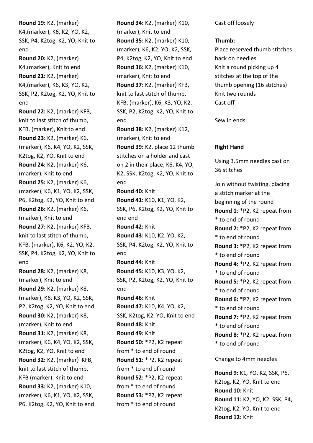**Round 19:** K2, (marker) K4,(marker), K6, K2, YO, K2, SSK, P4, K2tog, K2, YO, Knit to end **Round 20:** K2, (marker) K4,(marker), Knit to end **Round 21:** K2, (marker) K4,(marker), K6, K3, YO, K2, SSK, P2, K2tog, K2, YO, Knit to end **Round 22:** K2, (marker) KFB, knit to last stitch of thumb, KFB, (marker), Knit to end **Round 23:** K2, (marker) K6, (marker), K6, K4, YO, K2, SSK, K2tog, K2, YO, Knit to end **Round 24:** K2, (marker) K6, (marker), Knit to end **Round 25:** K2, (marker) K6, (marker), K6, K1, YO, K2, SSK, P6, K2tog, K2, YO, Knit to end **Round 26:** K2, (marker) K6, (marker), Knit to end **Round 27:** K2, (marker) KFB, knit to last stitch of thumb, KFB, (marker), K6, K2, YO, K2, SSK, P4, K2tog, K2, YO, Knit to end **Round 28:** K2, (marker) K8, (marker), Knit to end **Round 29:** K2, (marker) K8, (marker), K6, K3, YO, K2, SSK, P2, K2tog, K2, YO, Knit to end **Round 30:** K2, (marker) K8, (marker), Knit to end **Round 31:** K2, (marker) K8, (marker), K6, K4, YO, K2, SSK, K2tog, K2, YO, Knit to end **Round 32:** K2, (marker) KFB, knit to last stitch of thumb, KFB (marker), Knit to end **Round 33:** K2, (marker) K10, (marker), K6, K1, YO, K2, SSK, P6, K2tog, K2, YO, Knit to end

**Round 34:** K2, (marker) K10, (marker), Knit to end **Round 35:** K2, (marker) K10, (marker), K6, K2, YO, K2, SSK, P4, K2tog, K2, YO, Knit to end **Round 36:** K2, (marker) K10, (marker), Knit to end **Round 37:** K2, (marker) KFB, knit to last stitch of thumb, KFB, (marker), K6, K3, YO, K2, SSK, P2, K2tog, K2, YO, Knit to end **Round 38:** K2, (marker) K12, (marker), Knit to end **Round 39:** K2, place 12 thumb stitches on a holder and cast on 2 in their place, K6, K4, YO, K2, SSK, K2tog, K2, YO, Knit to end **Round 40:** Knit **Round 41:** K10, K1, YO, K2, SSK, P6, K2tog, K2, YO, Knit to end end **Round 42:** Knit **Round 43:** K10, K2, YO, K2, SSK, P4, K2tog, K2, YO, Knit to end **Round 44:** Knit **Round 45:** K10, K3, YO, K2, SSK, P2, K2tog, K2, YO, Knit to end **Round 46:** Knit **Round 47:** K10, K4, YO, K2, SSK, K2tog, K2, YO, Knit to end **Round 48:** Knit **Round 49:** Knit **Round 50:** \*P2, K2 repeat from \* to end of round **Round 51:** \*P2, K2 repeat from \* to end of round **Round 52:** \*P2, K2 repeat from \* to end of round **Round 53:** \*P2, K2 repeat from \* to end of round

Cast off loosely

**Thumb:**

Place reserved thumb stitches back on needles Knit a round picking up 4 stitches at the top of the thumb opening (16 stitches) Knit two rounds Cast off

Sew in ends

## **Right Hand**

Using 3.5mm needles cast on 36 stitches Join without twisting, placing a stitch marker at the beginning of the round **Round 1**: \*P2, K2 repeat from \* to end of round **Round 2:** \*P2, K2 repeat from \* to end of round **Round 3:** \*P2, K2 repeat from \* to end of round **Round 4:** \*P2, K2 repeat from \* to end of round **Round 5:** \*P2, K2 repeat from \* to end of round **Round 6:** \*P2, K2 repeat from \* to end of round **Round 7:** \*P2, K2 repeat from \* to end of round **Round 8:** \*P2, K2 repeat from

Change to 4mm needles

\* to end of round

**Round 9:** K1, YO, K2, SSK, P6, K2tog, K2, YO, Knit to end **Round 10:** Knit **Round 11:** K2, YO, K2, SSK, P4, K2tog, K2, YO, Knit to end **Round 12:** Knit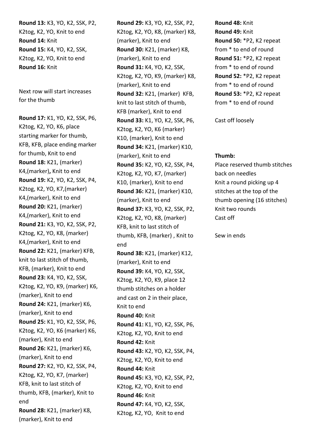**Round 13:** K3, YO, K2, SSK, P2, K2tog, K2, YO, Knit to end **Round 14:** Knit **Round 15:** K4, YO, K2, SSK, K2tog, K2, YO, Knit to end **Round 16:** Knit

Next row will start increases for the thumb

**Round 17:** K1, YO, K2, SSK, P6, K2tog, K2, YO, K6, place starting marker for thumb, KFB, KFB, place ending marker for thumb, Knit to end **Round 18:** K21, (marker) K4,(marker)**,** Knit to end **Round 19:** K2, YO, K2, SSK, P4, K2tog, K2, YO, K7,(marker) K4,(marker), Knit to end **Round 20:** K21, (marker) K4,(marker), Knit to end **Round 21:** K3, YO, K2, SSK, P2, K2tog, K2, YO, K8, (marker) K4,(marker), Knit to end **Round 22:** K21, (marker) KFB, knit to last stitch of thumb, KFB, (marker), Knit to end **Round 23:** K4, YO, K2, SSK, K2tog, K2, YO, K9, (marker) K6, (marker), Knit to end **Round 24:** K21, (marker) K6, (marker), Knit to end **Round 25:** K1, YO, K2, SSK, P6, K2tog, K2, YO, K6 (marker) K6, (marker), Knit to end **Round 26:** K21, (marker) K6, (marker), Knit to end **Round 27:** K2, YO, K2, SSK, P4, K2tog, K2, YO, K7, (marker) KFB, knit to last stitch of thumb, KFB, (marker), Knit to end **Round 28:** K21, (marker) K8, (marker), Knit to end

**Round 29:** K3, YO, K2, SSK, P2, K2tog, K2, YO, K8, (marker) K8, (marker), Knit to end **Round 30:** K21, (marker) K8, (marker), Knit to end **Round 31:** K4, YO, K2, SSK, K2tog, K2, YO, K9, (marker) K8, (marker), Knit to end **Round 32:** K21, (marker) KFB, knit to last stitch of thumb, KFB (marker), Knit to end **Round 33:** K1, YO, K2, SSK, P6, K2tog, K2, YO, K6 (marker) K10, (marker), Knit to end **Round 34:** K21, (marker) K10, (marker), Knit to end **Round 35:** K2, YO, K2, SSK, P4, K2tog, K2, YO, K7, (marker) K10, (marker), Knit to end **Round 36:** K21, (marker) K10, (marker), Knit to end **Round 37:** K3, YO, K2, SSK, P2, K2tog, K2, YO, K8, (marker) KFB, knit to last stitch of thumb, KFB, (marker) , Knit to end **Round 38:** K21, (marker) K12, (marker), Knit to end **Round 39:** K4, YO, K2, SSK, K2tog, K2, YO, K9, place 12 thumb stitches on a holder and cast on 2 in their place, Knit to end **Round 40:** Knit **Round 41:** K1, YO, K2, SSK, P6, K2tog, K2, YO, Knit to end **Round 42:** Knit **Round 43:** K2, YO, K2, SSK, P4, K2tog, K2, YO, Knit to end **Round 44:** Knit **Round 45:** K3, YO, K2, SSK, P2, K2tog, K2, YO, Knit to end **Round 46:** Knit **Round 47:** K4, YO, K2, SSK, K2tog, K2, YO, Knit to end

**Round 48:** Knit **Round 49:** Knit **Round 50:** \*P2, K2 repeat from \* to end of round **Round 51:** \*P2, K2 repeat from \* to end of round **Round 52:** \*P2, K2 repeat from \* to end of round **Round 53:** \*P2, K2 repeat from \* to end of round

Cast off loosely

#### **Thumb:**

Place reserved thumb stitches back on needles Knit a round picking up 4 stitches at the top of the thumb opening (16 stitches) Knit two rounds Cast off

Sew in ends